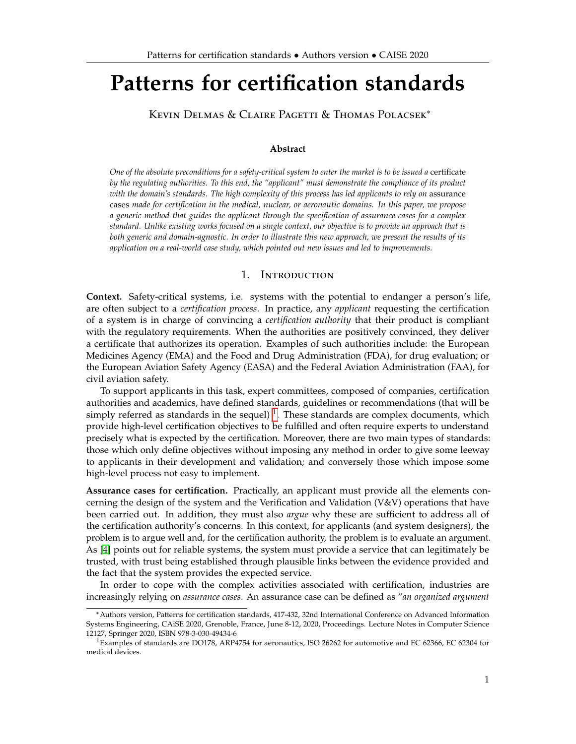# **Patterns for certification standards**

Kevin Delmas & Claire Pagetti & Thomas Polacsek<sup>∗</sup>

### **Abstract**

*One of the absolute preconditions for a safety-critical system to enter the market is to be issued a* certificate *by the regulating authorities. To this end, the "applicant" must demonstrate the compliance of its product with the domain's standards. The high complexity of this process has led applicants to rely on* assurance cases *made for certification in the medical, nuclear, or aeronautic domains. In this paper, we propose a generic method that guides the applicant through the specification of assurance cases for a complex standard. Unlike existing works focused on a single context, our objective is to provide an approach that is both generic and domain-agnostic. In order to illustrate this new approach, we present the results of its application on a real-world case study, which pointed out new issues and led to improvements.*

#### 1. Introduction

**Context.** Safety-critical systems, i.e. systems with the potential to endanger a person's life, are often subject to a *certification process*. In practice, any *applicant* requesting the certification of a system is in charge of convincing a *certification authority* that their product is compliant with the regulatory requirements. When the authorities are positively convinced, they deliver a certificate that authorizes its operation. Examples of such authorities include: the European Medicines Agency (EMA) and the Food and Drug Administration (FDA), for drug evaluation; or the European Aviation Safety Agency (EASA) and the Federal Aviation Administration (FAA), for civil aviation safety.

To support applicants in this task, expert committees, composed of companies, certification authorities and academics, have defined standards, guidelines or recommendations (that will be simply referred as standards in the sequel) <sup>[1](#page-0-0)</sup>. These standards are complex documents, which provide high-level certification objectives to be fulfilled and often require experts to understand precisely what is expected by the certification. Moreover, there are two main types of standards: those which only define objectives without imposing any method in order to give some leeway to applicants in their development and validation; and conversely those which impose some high-level process not easy to implement.

**Assurance cases for certification.** Practically, an applicant must provide all the elements concerning the design of the system and the Verification and Validation (V&V) operations that have been carried out. In addition, they must also *argue* why these are sufficient to address all of the certification authority's concerns. In this context, for applicants (and system designers), the problem is to argue well and, for the certification authority, the problem is to evaluate an argument. As [\[4\]](#page-10-0) points out for reliable systems, the system must provide a service that can legitimately be trusted, with trust being established through plausible links between the evidence provided and the fact that the system provides the expected service.

In order to cope with the complex activities associated with certification, industries are increasingly relying on *assurance cases*. An assurance case can be defined as "*an organized argument*

<sup>∗</sup>Authors version, Patterns for certification standards, 417-432, 32nd International Conference on Advanced Information Systems Engineering, CAiSE 2020, Grenoble, France, June 8-12, 2020, Proceedings. Lecture Notes in Computer Science 12127, Springer 2020, ISBN 978-3-030-49434-6

<span id="page-0-0"></span><sup>&</sup>lt;sup>1</sup>Examples of standards are DO178, ARP4754 for aeronautics, ISO 26262 for automotive and EC 62366, EC 62304 for medical devices.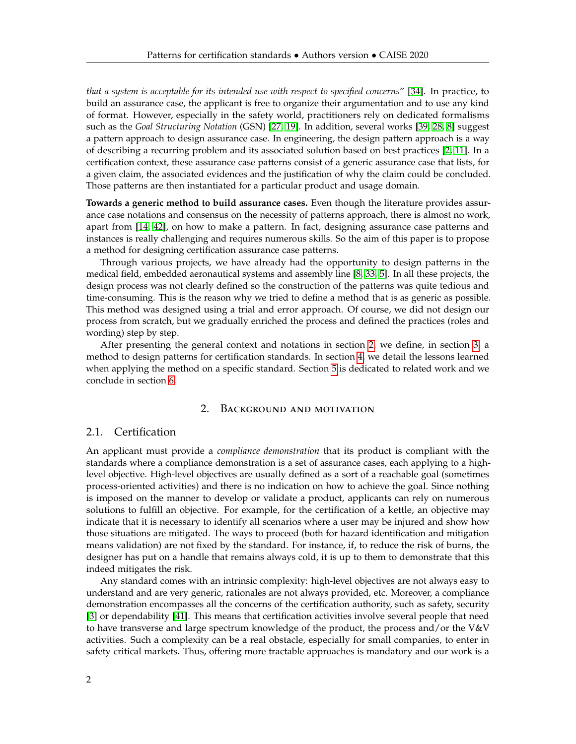*that a system is acceptable for its intended use with respect to specified concerns*" [\[34\]](#page-12-0). In practice, to build an assurance case, the applicant is free to organize their argumentation and to use any kind of format. However, especially in the safety world, practitioners rely on dedicated formalisms such as the *Goal Structuring Notation* (GSN) [\[27,](#page-12-1) [19\]](#page-11-0). In addition, several works [\[39,](#page-12-2) [28,](#page-12-3) [8\]](#page-10-1) suggest a pattern approach to design assurance case. In engineering, the design pattern approach is a way of describing a recurring problem and its associated solution based on best practices [\[2,](#page-10-2) [11\]](#page-11-1). In a certification context, these assurance case patterns consist of a generic assurance case that lists, for a given claim, the associated evidences and the justification of why the claim could be concluded. Those patterns are then instantiated for a particular product and usage domain.

**Towards a generic method to build assurance cases.** Even though the literature provides assurance case notations and consensus on the necessity of patterns approach, there is almost no work, apart from [\[14,](#page-11-2) [42\]](#page-13-0), on how to make a pattern. In fact, designing assurance case patterns and instances is really challenging and requires numerous skills. So the aim of this paper is to propose a method for designing certification assurance case patterns.

Through various projects, we have already had the opportunity to design patterns in the medical field, embedded aeronautical systems and assembly line [\[8,](#page-10-1) [33,](#page-12-4) [5\]](#page-10-3). In all these projects, the design process was not clearly defined so the construction of the patterns was quite tedious and time-consuming. This is the reason why we tried to define a method that is as generic as possible. This method was designed using a trial and error approach. Of course, we did not design our process from scratch, but we gradually enriched the process and defined the practices (roles and wording) step by step.

<span id="page-1-0"></span>After presenting the general context and notations in section [2,](#page-1-0) we define, in section [3,](#page-4-0) a method to design patterns for certification standards. In section [4,](#page-6-0) we detail the lessons learned when applying the method on a specific standard. Section [5](#page-8-0) is dedicated to related work and we conclude in section [6.](#page-9-0)

# 2. Background and motivation

#### 2.1. Certification

An applicant must provide a *compliance demonstration* that its product is compliant with the standards where a compliance demonstration is a set of assurance cases, each applying to a highlevel objective. High-level objectives are usually defined as a sort of a reachable goal (sometimes process-oriented activities) and there is no indication on how to achieve the goal. Since nothing is imposed on the manner to develop or validate a product, applicants can rely on numerous solutions to fulfill an objective. For example, for the certification of a kettle, an objective may indicate that it is necessary to identify all scenarios where a user may be injured and show how those situations are mitigated. The ways to proceed (both for hazard identification and mitigation means validation) are not fixed by the standard. For instance, if, to reduce the risk of burns, the designer has put on a handle that remains always cold, it is up to them to demonstrate that this indeed mitigates the risk.

Any standard comes with an intrinsic complexity: high-level objectives are not always easy to understand and are very generic, rationales are not always provided, etc. Moreover, a compliance demonstration encompasses all the concerns of the certification authority, such as safety, security [\[3\]](#page-10-4) or dependability [\[41\]](#page-12-5). This means that certification activities involve several people that need to have transverse and large spectrum knowledge of the product, the process and/or the V&V activities. Such a complexity can be a real obstacle, especially for small companies, to enter in safety critical markets. Thus, offering more tractable approaches is mandatory and our work is a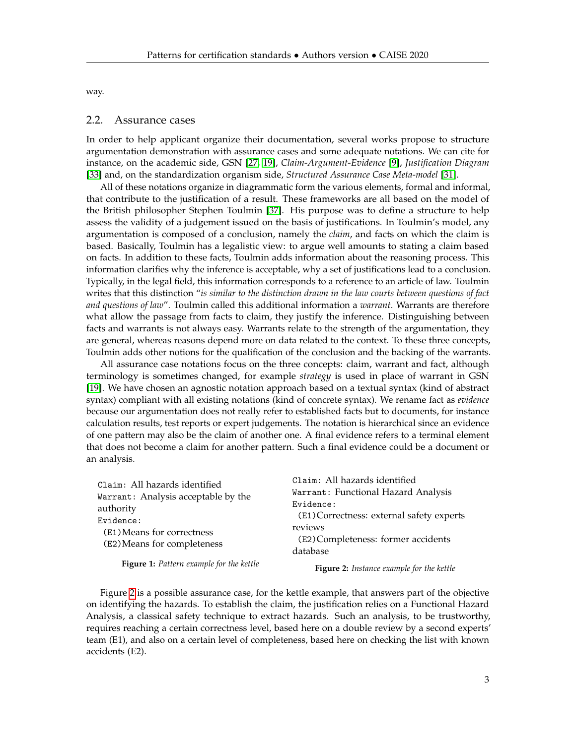way.

### 2.2. Assurance cases

In order to help applicant organize their documentation, several works propose to structure argumentation demonstration with assurance cases and some adequate notations. We can cite for instance, on the academic side, GSN [\[27,](#page-12-1) [19\]](#page-11-0), *Claim-Argument-Evidence* [\[9\]](#page-11-3), *Justification Diagram* [\[33\]](#page-12-4) and, on the standardization organism side, *Structured Assurance Case Meta-model* [\[31\]](#page-12-6).

All of these notations organize in diagrammatic form the various elements, formal and informal, that contribute to the justification of a result. These frameworks are all based on the model of the British philosopher Stephen Toulmin [\[37\]](#page-12-7). His purpose was to define a structure to help assess the validity of a judgement issued on the basis of justifications. In Toulmin's model, any argumentation is composed of a conclusion, namely the *claim*, and facts on which the claim is based. Basically, Toulmin has a legalistic view: to argue well amounts to stating a claim based on facts. In addition to these facts, Toulmin adds information about the reasoning process. This information clarifies why the inference is acceptable, why a set of justifications lead to a conclusion. Typically, in the legal field, this information corresponds to a reference to an article of law. Toulmin writes that this distinction "*is similar to the distinction drawn in the law courts between questions of fact and questions of law*". Toulmin called this additional information a *warrant*. Warrants are therefore what allow the passage from facts to claim, they justify the inference. Distinguishing between facts and warrants is not always easy. Warrants relate to the strength of the argumentation, they are general, whereas reasons depend more on data related to the context. To these three concepts, Toulmin adds other notions for the qualification of the conclusion and the backing of the warrants.

All assurance case notations focus on the three concepts: claim, warrant and fact, although terminology is sometimes changed, for example *strategy* is used in place of warrant in GSN [\[19\]](#page-11-0). We have chosen an agnostic notation approach based on a textual syntax (kind of abstract syntax) compliant with all existing notations (kind of concrete syntax). We rename fact as *evidence* because our argumentation does not really refer to established facts but to documents, for instance calculation results, test reports or expert judgements. The notation is hierarchical since an evidence of one pattern may also be the claim of another one. A final evidence refers to a terminal element that does not become a claim for another pattern. Such a final evidence could be a document or an analysis.

<span id="page-2-0"></span>

| Claim: All hazards identified<br>Warrant: Analysis acceptable by the<br>authority | Claim: All hazards identified                                                               |
|-----------------------------------------------------------------------------------|---------------------------------------------------------------------------------------------|
|                                                                                   | Warrant: Functional Hazard Analysis                                                         |
|                                                                                   | Evidence:                                                                                   |
| Evidence:                                                                         | (E1) Correctness: external safety experts<br>reviews<br>(E2) Completeness: former accidents |
| (E1) Means for correctness<br>(E2) Means for completeness                         |                                                                                             |
|                                                                                   |                                                                                             |
|                                                                                   | <b>Figure 1:</b> Pattern example for the kettle                                             |

**Figure 1:** *Pattern example for the kettle*

**Figure 2:** *Instance example for the kettle*

Figure [2](#page-2-0) is a possible assurance case, for the kettle example, that answers part of the objective on identifying the hazards. To establish the claim, the justification relies on a Functional Hazard Analysis, a classical safety technique to extract hazards. Such an analysis, to be trustworthy, requires reaching a certain correctness level, based here on a double review by a second experts' team (E1), and also on a certain level of completeness, based here on checking the list with known accidents (E2).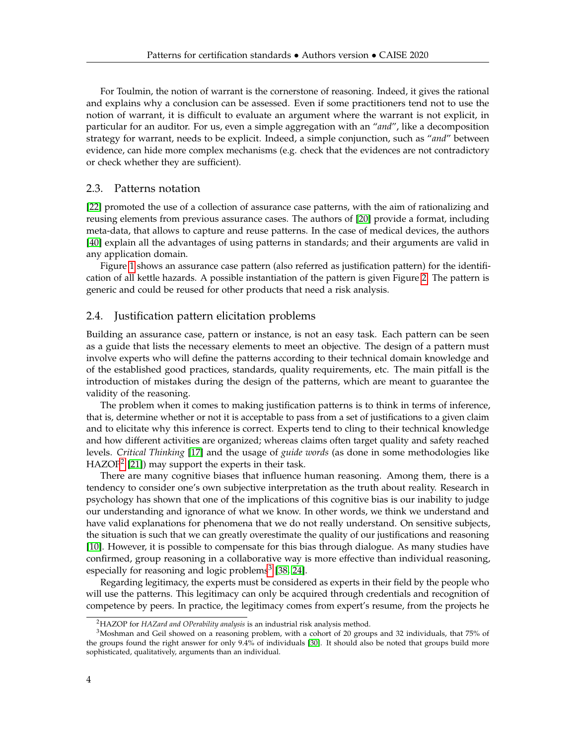For Toulmin, the notion of warrant is the cornerstone of reasoning. Indeed, it gives the rational and explains why a conclusion can be assessed. Even if some practitioners tend not to use the notion of warrant, it is difficult to evaluate an argument where the warrant is not explicit, in particular for an auditor. For us, even a simple aggregation with an "*and*", like a decomposition strategy for warrant, needs to be explicit. Indeed, a simple conjunction, such as "*and*" between evidence, can hide more complex mechanisms (e.g. check that the evidences are not contradictory or check whether they are sufficient).

## 2.3. Patterns notation

[\[22\]](#page-11-4) promoted the use of a collection of assurance case patterns, with the aim of rationalizing and reusing elements from previous assurance cases. The authors of [\[20\]](#page-11-5) provide a format, including meta-data, that allows to capture and reuse patterns. In the case of medical devices, the authors [\[40\]](#page-12-8) explain all the advantages of using patterns in standards; and their arguments are valid in any application domain.

Figure [1](#page-2-0) shows an assurance case pattern (also referred as justification pattern) for the identification of all kettle hazards. A possible instantiation of the pattern is given Figure [2.](#page-2-0) The pattern is generic and could be reused for other products that need a risk analysis.

# 2.4. Justification pattern elicitation problems

Building an assurance case, pattern or instance, is not an easy task. Each pattern can be seen as a guide that lists the necessary elements to meet an objective. The design of a pattern must involve experts who will define the patterns according to their technical domain knowledge and of the established good practices, standards, quality requirements, etc. The main pitfall is the introduction of mistakes during the design of the patterns, which are meant to guarantee the validity of the reasoning.

The problem when it comes to making justification patterns is to think in terms of inference, that is, determine whether or not it is acceptable to pass from a set of justifications to a given claim and to elicitate why this inference is correct. Experts tend to cling to their technical knowledge and how different activities are organized; whereas claims often target quality and safety reached levels. *Critical Thinking* [\[17\]](#page-11-6) and the usage of *guide words* (as done in some methodologies like  $HAZOP<sup>2</sup>$  $HAZOP<sup>2</sup>$  $HAZOP<sup>2</sup>$  [\[21\]](#page-11-7)) may support the experts in their task.

There are many cognitive biases that influence human reasoning. Among them, there is a tendency to consider one's own subjective interpretation as the truth about reality. Research in psychology has shown that one of the implications of this cognitive bias is our inability to judge our understanding and ignorance of what we know. In other words, we think we understand and have valid explanations for phenomena that we do not really understand. On sensitive subjects, the situation is such that we can greatly overestimate the quality of our justifications and reasoning [\[10\]](#page-11-8). However, it is possible to compensate for this bias through dialogue. As many studies have confirmed, group reasoning in a collaborative way is more effective than individual reasoning, especially for reasoning and logic problems<sup>[3](#page-3-1)</sup> [\[38,](#page-12-9) [24\]](#page-11-9).

Regarding legitimacy, the experts must be considered as experts in their field by the people who will use the patterns. This legitimacy can only be acquired through credentials and recognition of competence by peers. In practice, the legitimacy comes from expert's resume, from the projects he

<span id="page-3-1"></span><span id="page-3-0"></span><sup>2</sup>HAZOP for *HAZard and OPerability analysis* is an industrial risk analysis method.

<sup>&</sup>lt;sup>3</sup>Moshman and Geil showed on a reasoning problem, with a cohort of 20 groups and 32 individuals, that 75% of the groups found the right answer for only 9.4% of individuals [\[30\]](#page-12-10). It should also be noted that groups build more sophisticated, qualitatively, arguments than an individual.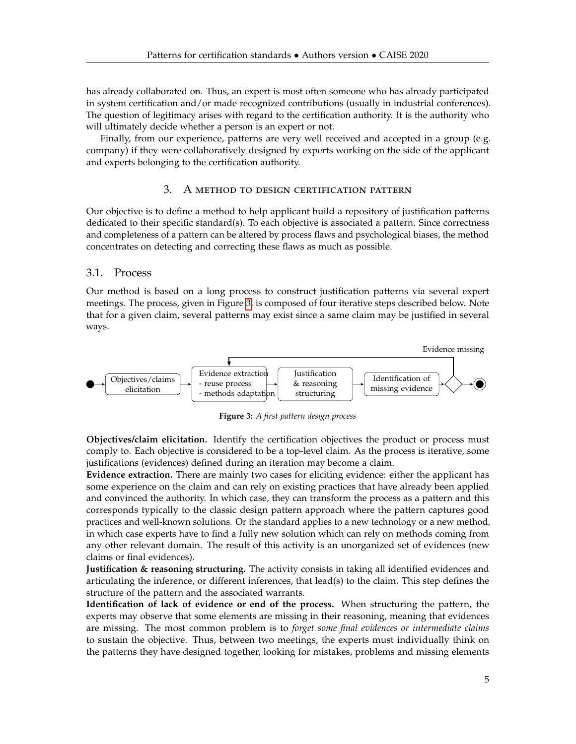has already collaborated on. Thus, an expert is most often someone who has already participated in system certification and/or made recognized contributions (usually in industrial conferences). The question of legitimacy arises with regard to the certification authority. It is the authority who will ultimately decide whether a person is an expert or not.

<span id="page-4-0"></span>Finally, from our experience, patterns are very well received and accepted in a group (e.g. company) if they were collaboratively designed by experts working on the side of the applicant and experts belonging to the certification authority.

#### 3. A method to design certification pattern

Our objective is to define a method to help applicant build a repository of justification patterns dedicated to their specific standard(s). To each objective is associated a pattern. Since correctness and completeness of a pattern can be altered by process flaws and psychological biases, the method concentrates on detecting and correcting these flaws as much as possible.

### 3.1. Process

Our method is based on a long process to construct justification patterns via several expert meetings. The process, given in Figure [3,](#page-4-1) is composed of four iterative steps described below. Note that for a given claim, several patterns may exist since a same claim may be justified in several ways.

<span id="page-4-1"></span>

**Figure 3:** *A first pattern design process*

**Objectives/claim elicitation.** Identify the certification objectives the product or process must comply to. Each objective is considered to be a top-level claim. As the process is iterative, some justifications (evidences) defined during an iteration may become a claim.

**Evidence extraction.** There are mainly two cases for eliciting evidence: either the applicant has some experience on the claim and can rely on existing practices that have already been applied and convinced the authority. In which case, they can transform the process as a pattern and this corresponds typically to the classic design pattern approach where the pattern captures good practices and well-known solutions. Or the standard applies to a new technology or a new method, in which case experts have to find a fully new solution which can rely on methods coming from any other relevant domain. The result of this activity is an unorganized set of evidences (new claims or final evidences).

**Justification & reasoning structuring.** The activity consists in taking all identified evidences and articulating the inference, or different inferences, that lead(s) to the claim. This step defines the structure of the pattern and the associated warrants.

**Identification of lack of evidence or end of the process.** When structuring the pattern, the experts may observe that some elements are missing in their reasoning, meaning that evidences are missing. The most common problem is to *forget some final evidences or intermediate claims* to sustain the objective. Thus, between two meetings, the experts must individually think on the patterns they have designed together, looking for mistakes, problems and missing elements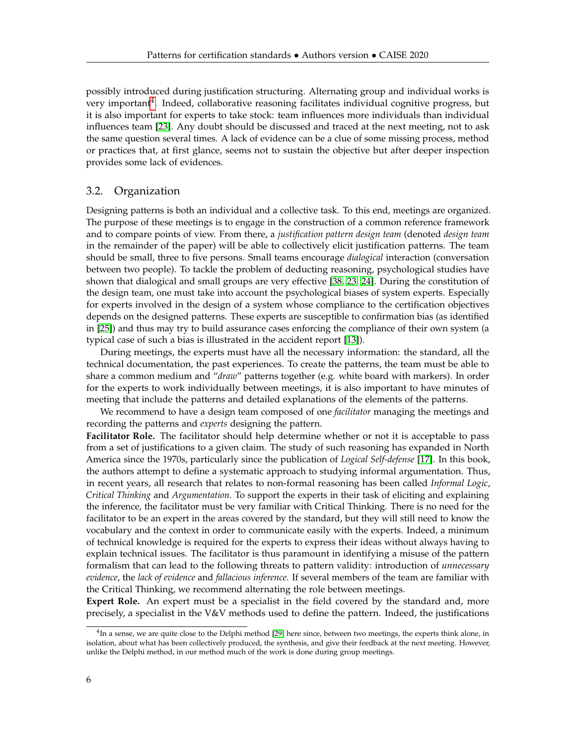possibly introduced during justification structuring. Alternating group and individual works is very important<sup>[4](#page-5-0)</sup>. Indeed, collaborative reasoning facilitates individual cognitive progress, but it is also important for experts to take stock: team influences more individuals than individual influences team [\[23\]](#page-11-10). Any doubt should be discussed and traced at the next meeting, not to ask the same question several times. A lack of evidence can be a clue of some missing process, method or practices that, at first glance, seems not to sustain the objective but after deeper inspection provides some lack of evidences.

# 3.2. Organization

Designing patterns is both an individual and a collective task. To this end, meetings are organized. The purpose of these meetings is to engage in the construction of a common reference framework and to compare points of view. From there, a *justification pattern design team* (denoted *design team* in the remainder of the paper) will be able to collectively elicit justification patterns. The team should be small, three to five persons. Small teams encourage *dialogical* interaction (conversation between two people). To tackle the problem of deducting reasoning, psychological studies have shown that dialogical and small groups are very effective [\[38,](#page-12-9) [23,](#page-11-10) [24\]](#page-11-9). During the constitution of the design team, one must take into account the psychological biases of system experts. Especially for experts involved in the design of a system whose compliance to the certification objectives depends on the designed patterns. These experts are susceptible to confirmation bias (as identified in [\[25\]](#page-12-11)) and thus may try to build assurance cases enforcing the compliance of their own system (a typical case of such a bias is illustrated in the accident report [\[13\]](#page-11-11)).

During meetings, the experts must have all the necessary information: the standard, all the technical documentation, the past experiences. To create the patterns, the team must be able to share a common medium and "*draw*" patterns together (e.g. white board with markers). In order for the experts to work individually between meetings, it is also important to have minutes of meeting that include the patterns and detailed explanations of the elements of the patterns.

We recommend to have a design team composed of one *facilitator* managing the meetings and recording the patterns and *experts* designing the pattern.

**Facilitator Role.** The facilitator should help determine whether or not it is acceptable to pass from a set of justifications to a given claim. The study of such reasoning has expanded in North America since the 1970s, particularly since the publication of *Logical Self-defense* [\[17\]](#page-11-6). In this book, the authors attempt to define a systematic approach to studying informal argumentation. Thus, in recent years, all research that relates to non-formal reasoning has been called *Informal Logic*, *Critical Thinking* and *Argumentation*. To support the experts in their task of eliciting and explaining the inference, the facilitator must be very familiar with Critical Thinking. There is no need for the facilitator to be an expert in the areas covered by the standard, but they will still need to know the vocabulary and the context in order to communicate easily with the experts. Indeed, a minimum of technical knowledge is required for the experts to express their ideas without always having to explain technical issues. The facilitator is thus paramount in identifying a misuse of the pattern formalism that can lead to the following threats to pattern validity: introduction of *unnecessary evidence*, the *lack of evidence* and *fallacious inference*. If several members of the team are familiar with the Critical Thinking, we recommend alternating the role between meetings.

**Expert Role.** An expert must be a specialist in the field covered by the standard and, more precisely, a specialist in the V&V methods used to define the pattern. Indeed, the justifications

<span id="page-5-0"></span> $<sup>4</sup>$ In a sense, we are quite close to the Delphi method [\[29\]](#page-12-12) here since, between two meetings, the experts think alone, in</sup> isolation, about what has been collectively produced, the synthesis, and give their feedback at the next meeting. However, unlike the Delphi method, in our method much of the work is done during group meetings.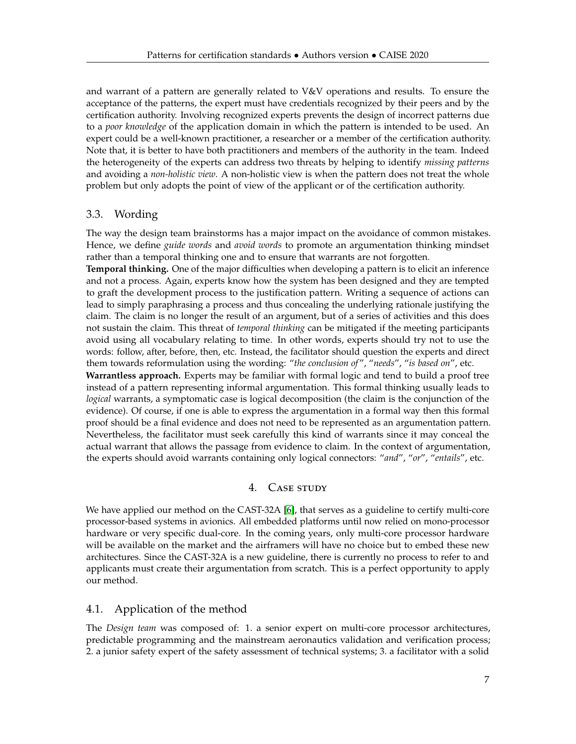and warrant of a pattern are generally related to V&V operations and results. To ensure the acceptance of the patterns, the expert must have credentials recognized by their peers and by the certification authority. Involving recognized experts prevents the design of incorrect patterns due to a *poor knowledge* of the application domain in which the pattern is intended to be used. An expert could be a well-known practitioner, a researcher or a member of the certification authority. Note that, it is better to have both practitioners and members of the authority in the team. Indeed the heterogeneity of the experts can address two threats by helping to identify *missing patterns* and avoiding a *non-holistic view*. A non-holistic view is when the pattern does not treat the whole problem but only adopts the point of view of the applicant or of the certification authority.

# 3.3. Wording

The way the design team brainstorms has a major impact on the avoidance of common mistakes. Hence, we define *guide words* and *avoid words* to promote an argumentation thinking mindset rather than a temporal thinking one and to ensure that warrants are not forgotten.

**Temporal thinking.** One of the major difficulties when developing a pattern is to elicit an inference and not a process. Again, experts know how the system has been designed and they are tempted to graft the development process to the justification pattern. Writing a sequence of actions can lead to simply paraphrasing a process and thus concealing the underlying rationale justifying the claim. The claim is no longer the result of an argument, but of a series of activities and this does not sustain the claim. This threat of *temporal thinking* can be mitigated if the meeting participants avoid using all vocabulary relating to time. In other words, experts should try not to use the words: follow, after, before, then, etc. Instead, the facilitator should question the experts and direct them towards reformulation using the wording: "*the conclusion of* ", "*needs*", "*is based on*", etc.

**Warrantless approach.** Experts may be familiar with formal logic and tend to build a proof tree instead of a pattern representing informal argumentation. This formal thinking usually leads to *logical* warrants, a symptomatic case is logical decomposition (the claim is the conjunction of the evidence). Of course, if one is able to express the argumentation in a formal way then this formal proof should be a final evidence and does not need to be represented as an argumentation pattern. Nevertheless, the facilitator must seek carefully this kind of warrants since it may conceal the actual warrant that allows the passage from evidence to claim. In the context of argumentation, the experts should avoid warrants containing only logical connectors: "*and*", "*or*", "*entails*", etc.

# 4. CASE STUDY

<span id="page-6-0"></span>We have applied our method on the CAST-32A [\[6\]](#page-10-5), that serves as a guideline to certify multi-core processor-based systems in avionics. All embedded platforms until now relied on mono-processor hardware or very specific dual-core. In the coming years, only multi-core processor hardware will be available on the market and the airframers will have no choice but to embed these new architectures. Since the CAST-32A is a new guideline, there is currently no process to refer to and applicants must create their argumentation from scratch. This is a perfect opportunity to apply our method.

# 4.1. Application of the method

The *Design team* was composed of: 1. a senior expert on multi-core processor architectures, predictable programming and the mainstream aeronautics validation and verification process; 2. a junior safety expert of the safety assessment of technical systems; 3. a facilitator with a solid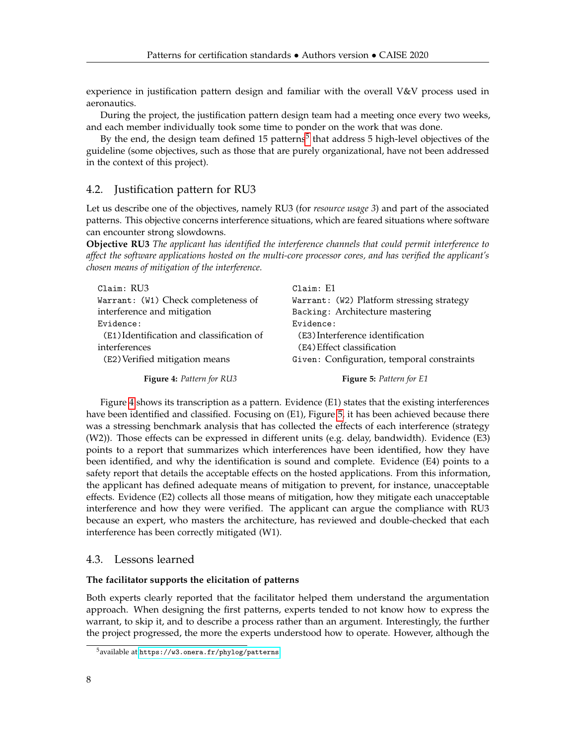experience in justification pattern design and familiar with the overall V&V process used in aeronautics.

During the project, the justification pattern design team had a meeting once every two weeks, and each member individually took some time to ponder on the work that was done.

By the end, the design team defined 1[5](#page-7-0) patterns<sup>5</sup> that address 5 high-level objectives of the guideline (some objectives, such as those that are purely organizational, have not been addressed in the context of this project).

## 4.2. Justification pattern for RU3

Let us describe one of the objectives, namely RU3 (for *resource usage 3*) and part of the associated patterns. This objective concerns interference situations, which are feared situations where software can encounter strong slowdowns.

**Objective RU3** *The applicant has identified the interference channels that could permit interference to affect the software applications hosted on the multi-core processor cores, and has verified the applicant's chosen means of mitigation of the interference.*

<span id="page-7-1"></span>

| Claim: RU3                                | Claim: E1                                  |
|-------------------------------------------|--------------------------------------------|
| Warrant: (W1) Check completeness of       | Warrant: (W2) Platform stressing strategy  |
| interference and mitigation               | Backing: Architecture mastering            |
| Evidence:                                 | Evidence:                                  |
| (E1) Identification and classification of | (E3) Interference identification           |
| interferences                             | (E4) Effect classification                 |
| (E2) Verified mitigation means            | Given: Configuration, temporal constraints |
| Figure 4: Pattern for RU3                 | Figure 5: Pattern for E1                   |

Figure [4](#page-7-1) shows its transcription as a pattern. Evidence (E1) states that the existing interferences have been identified and classified. Focusing on (E1), Figure [5,](#page-7-1) it has been achieved because there was a stressing benchmark analysis that has collected the effects of each interference (strategy (W2)). Those effects can be expressed in different units (e.g. delay, bandwidth). Evidence (E3) points to a report that summarizes which interferences have been identified, how they have been identified, and why the identification is sound and complete. Evidence (E4) points to a safety report that details the acceptable effects on the hosted applications. From this information, the applicant has defined adequate means of mitigation to prevent, for instance, unacceptable effects. Evidence (E2) collects all those means of mitigation, how they mitigate each unacceptable interference and how they were verified. The applicant can argue the compliance with RU3 because an expert, who masters the architecture, has reviewed and double-checked that each interference has been correctly mitigated (W1).

# 4.3. Lessons learned

#### **The facilitator supports the elicitation of patterns**

Both experts clearly reported that the facilitator helped them understand the argumentation approach. When designing the first patterns, experts tended to not know how to express the warrant, to skip it, and to describe a process rather than an argument. Interestingly, the further the project progressed, the more the experts understood how to operate. However, although the

<span id="page-7-0"></span><sup>5</sup>available at <https://w3.onera.fr/phylog/patterns>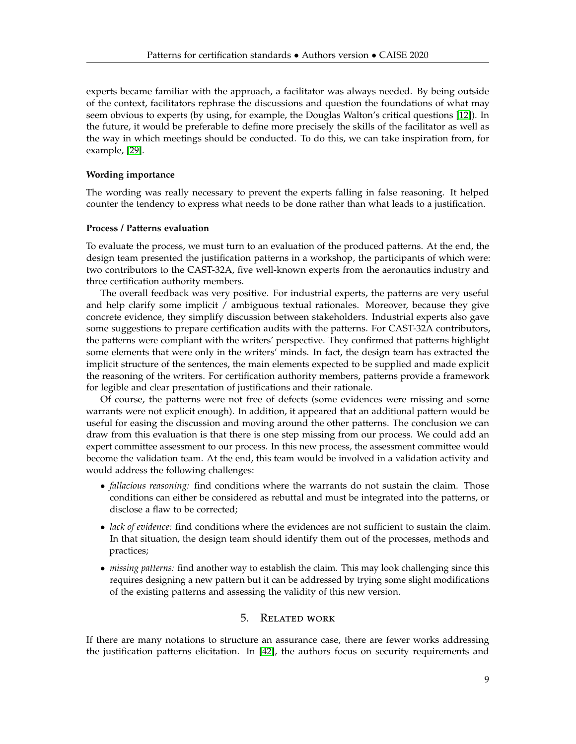experts became familiar with the approach, a facilitator was always needed. By being outside of the context, facilitators rephrase the discussions and question the foundations of what may seem obvious to experts (by using, for example, the Douglas Walton's critical questions [\[12\]](#page-11-12)). In the future, it would be preferable to define more precisely the skills of the facilitator as well as the way in which meetings should be conducted. To do this, we can take inspiration from, for example, [\[29\]](#page-12-12).

### **Wording importance**

The wording was really necessary to prevent the experts falling in false reasoning. It helped counter the tendency to express what needs to be done rather than what leads to a justification.

#### **Process / Patterns evaluation**

To evaluate the process, we must turn to an evaluation of the produced patterns. At the end, the design team presented the justification patterns in a workshop, the participants of which were: two contributors to the CAST-32A, five well-known experts from the aeronautics industry and three certification authority members.

The overall feedback was very positive. For industrial experts, the patterns are very useful and help clarify some implicit / ambiguous textual rationales. Moreover, because they give concrete evidence, they simplify discussion between stakeholders. Industrial experts also gave some suggestions to prepare certification audits with the patterns. For CAST-32A contributors, the patterns were compliant with the writers' perspective. They confirmed that patterns highlight some elements that were only in the writers' minds. In fact, the design team has extracted the implicit structure of the sentences, the main elements expected to be supplied and made explicit the reasoning of the writers. For certification authority members, patterns provide a framework for legible and clear presentation of justifications and their rationale.

Of course, the patterns were not free of defects (some evidences were missing and some warrants were not explicit enough). In addition, it appeared that an additional pattern would be useful for easing the discussion and moving around the other patterns. The conclusion we can draw from this evaluation is that there is one step missing from our process. We could add an expert committee assessment to our process. In this new process, the assessment committee would become the validation team. At the end, this team would be involved in a validation activity and would address the following challenges:

- *fallacious reasoning:* find conditions where the warrants do not sustain the claim. Those conditions can either be considered as rebuttal and must be integrated into the patterns, or disclose a flaw to be corrected;
- *lack of evidence:* find conditions where the evidences are not sufficient to sustain the claim. In that situation, the design team should identify them out of the processes, methods and practices;
- *missing patterns:* find another way to establish the claim. This may look challenging since this requires designing a new pattern but it can be addressed by trying some slight modifications of the existing patterns and assessing the validity of this new version.

# 5. Related work

<span id="page-8-0"></span>If there are many notations to structure an assurance case, there are fewer works addressing the justification patterns elicitation. In [\[42\]](#page-13-0), the authors focus on security requirements and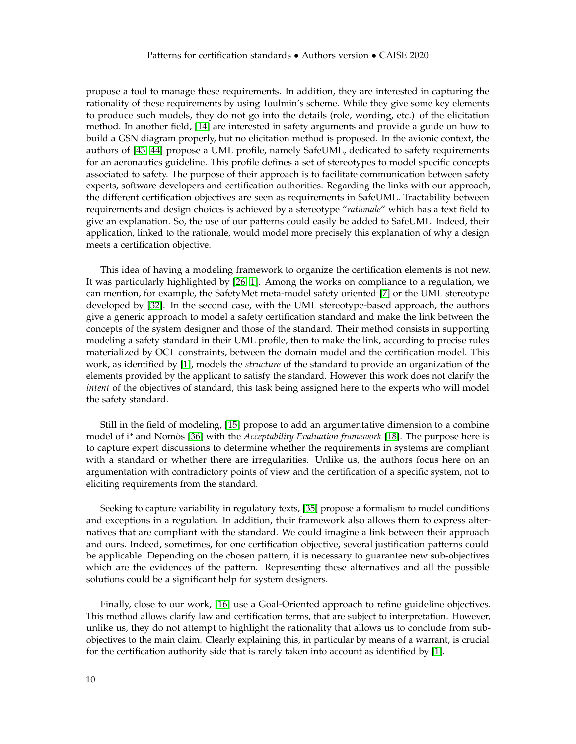propose a tool to manage these requirements. In addition, they are interested in capturing the rationality of these requirements by using Toulmin's scheme. While they give some key elements to produce such models, they do not go into the details (role, wording, etc.) of the elicitation method. In another field, [\[14\]](#page-11-2) are interested in safety arguments and provide a guide on how to build a GSN diagram properly, but no elicitation method is proposed. In the avionic context, the authors of [\[43,](#page-13-1) [44\]](#page-13-2) propose a UML profile, namely SafeUML, dedicated to safety requirements for an aeronautics guideline. This profile defines a set of stereotypes to model specific concepts associated to safety. The purpose of their approach is to facilitate communication between safety experts, software developers and certification authorities. Regarding the links with our approach, the different certification objectives are seen as requirements in SafeUML. Tractability between requirements and design choices is achieved by a stereotype "*rationale*" which has a text field to give an explanation. So, the use of our patterns could easily be added to SafeUML. Indeed, their application, linked to the rationale, would model more precisely this explanation of why a design meets a certification objective.

This idea of having a modeling framework to organize the certification elements is not new. It was particularly highlighted by [\[26,](#page-12-13) [1\]](#page-10-6). Among the works on compliance to a regulation, we can mention, for example, the SafetyMet meta-model safety oriented [\[7\]](#page-10-7) or the UML stereotype developed by [\[32\]](#page-12-14). In the second case, with the UML stereotype-based approach, the authors give a generic approach to model a safety certification standard and make the link between the concepts of the system designer and those of the standard. Their method consists in supporting modeling a safety standard in their UML profile, then to make the link, according to precise rules materialized by OCL constraints, between the domain model and the certification model. This work, as identified by [\[1\]](#page-10-6), models the *structure* of the standard to provide an organization of the elements provided by the applicant to satisfy the standard. However this work does not clarify the *intent* of the objectives of standard, this task being assigned here to the experts who will model the safety standard.

Still in the field of modeling, [\[15\]](#page-11-13) propose to add an argumentative dimension to a combine model of i\* and Nomòs [\[36\]](#page-12-15) with the *Acceptability Evaluation framework* [\[18\]](#page-11-14). The purpose here is to capture expert discussions to determine whether the requirements in systems are compliant with a standard or whether there are irregularities. Unlike us, the authors focus here on an argumentation with contradictory points of view and the certification of a specific system, not to eliciting requirements from the standard.

Seeking to capture variability in regulatory texts, [\[35\]](#page-12-16) propose a formalism to model conditions and exceptions in a regulation. In addition, their framework also allows them to express alternatives that are compliant with the standard. We could imagine a link between their approach and ours. Indeed, sometimes, for one certification objective, several justification patterns could be applicable. Depending on the chosen pattern, it is necessary to guarantee new sub-objectives which are the evidences of the pattern. Representing these alternatives and all the possible solutions could be a significant help for system designers.

<span id="page-9-0"></span>Finally, close to our work, [\[16\]](#page-11-15) use a Goal-Oriented approach to refine guideline objectives. This method allows clarify law and certification terms, that are subject to interpretation. However, unlike us, they do not attempt to highlight the rationality that allows us to conclude from subobjectives to the main claim. Clearly explaining this, in particular by means of a warrant, is crucial for the certification authority side that is rarely taken into account as identified by [\[1\]](#page-10-6).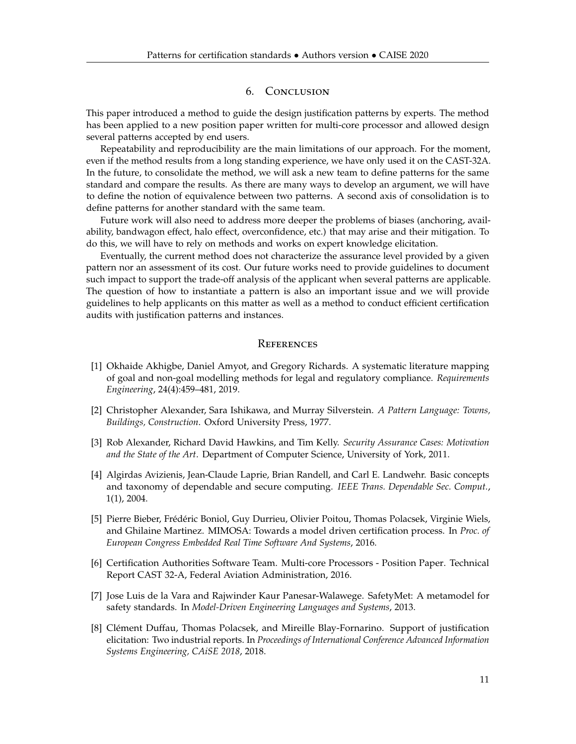# 6. Conclusion

This paper introduced a method to guide the design justification patterns by experts. The method has been applied to a new position paper written for multi-core processor and allowed design several patterns accepted by end users.

Repeatability and reproducibility are the main limitations of our approach. For the moment, even if the method results from a long standing experience, we have only used it on the CAST-32A. In the future, to consolidate the method, we will ask a new team to define patterns for the same standard and compare the results. As there are many ways to develop an argument, we will have to define the notion of equivalence between two patterns. A second axis of consolidation is to define patterns for another standard with the same team.

Future work will also need to address more deeper the problems of biases (anchoring, availability, bandwagon effect, halo effect, overconfidence, etc.) that may arise and their mitigation. To do this, we will have to rely on methods and works on expert knowledge elicitation.

Eventually, the current method does not characterize the assurance level provided by a given pattern nor an assessment of its cost. Our future works need to provide guidelines to document such impact to support the trade-off analysis of the applicant when several patterns are applicable. The question of how to instantiate a pattern is also an important issue and we will provide guidelines to help applicants on this matter as well as a method to conduct efficient certification audits with justification patterns and instances.

#### **REFERENCES**

- <span id="page-10-6"></span>[1] Okhaide Akhigbe, Daniel Amyot, and Gregory Richards. A systematic literature mapping of goal and non-goal modelling methods for legal and regulatory compliance. *Requirements Engineering*, 24(4):459–481, 2019.
- <span id="page-10-2"></span>[2] Christopher Alexander, Sara Ishikawa, and Murray Silverstein. *A Pattern Language: Towns, Buildings, Construction*. Oxford University Press, 1977.
- <span id="page-10-4"></span>[3] Rob Alexander, Richard David Hawkins, and Tim Kelly. *Security Assurance Cases: Motivation and the State of the Art*. Department of Computer Science, University of York, 2011.
- <span id="page-10-0"></span>[4] Algirdas Avizienis, Jean-Claude Laprie, Brian Randell, and Carl E. Landwehr. Basic concepts and taxonomy of dependable and secure computing. *IEEE Trans. Dependable Sec. Comput.*, 1(1), 2004.
- <span id="page-10-3"></span>[5] Pierre Bieber, Frédéric Boniol, Guy Durrieu, Olivier Poitou, Thomas Polacsek, Virginie Wiels, and Ghilaine Martinez. MIMOSA: Towards a model driven certification process. In *Proc. of European Congress Embedded Real Time Software And Systems*, 2016.
- <span id="page-10-5"></span>[6] Certification Authorities Software Team. Multi-core Processors - Position Paper. Technical Report CAST 32-A, Federal Aviation Administration, 2016.
- <span id="page-10-7"></span>[7] Jose Luis de la Vara and Rajwinder Kaur Panesar-Walawege. SafetyMet: A metamodel for safety standards. In *Model-Driven Engineering Languages and Systems*, 2013.
- <span id="page-10-1"></span>[8] Clément Duffau, Thomas Polacsek, and Mireille Blay-Fornarino. Support of justification elicitation: Two industrial reports. In *Proceedings of International Conference Advanced Information Systems Engineering, CAiSE 2018*, 2018.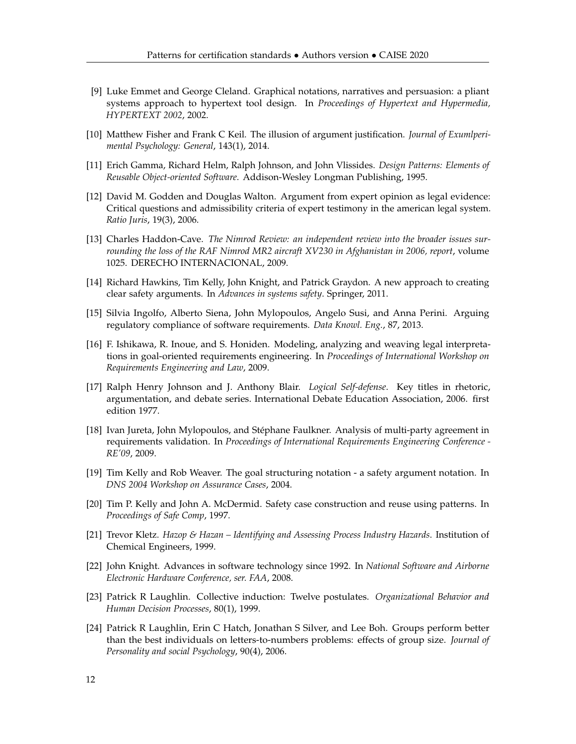- <span id="page-11-3"></span>[9] Luke Emmet and George Cleland. Graphical notations, narratives and persuasion: a pliant systems approach to hypertext tool design. In *Proceedings of Hypertext and Hypermedia, HYPERTEXT 2002*, 2002.
- <span id="page-11-8"></span>[10] Matthew Fisher and Frank C Keil. The illusion of argument justification. *Journal of Exumlperimental Psychology: General*, 143(1), 2014.
- <span id="page-11-1"></span>[11] Erich Gamma, Richard Helm, Ralph Johnson, and John Vlissides. *Design Patterns: Elements of Reusable Object-oriented Software*. Addison-Wesley Longman Publishing, 1995.
- <span id="page-11-12"></span>[12] David M. Godden and Douglas Walton. Argument from expert opinion as legal evidence: Critical questions and admissibility criteria of expert testimony in the american legal system. *Ratio Juris*, 19(3), 2006.
- <span id="page-11-11"></span>[13] Charles Haddon-Cave. *The Nimrod Review: an independent review into the broader issues surrounding the loss of the RAF Nimrod MR2 aircraft XV230 in Afghanistan in 2006, report*, volume 1025. DERECHO INTERNACIONAL, 2009.
- <span id="page-11-2"></span>[14] Richard Hawkins, Tim Kelly, John Knight, and Patrick Graydon. A new approach to creating clear safety arguments. In *Advances in systems safety*. Springer, 2011.
- <span id="page-11-13"></span>[15] Silvia Ingolfo, Alberto Siena, John Mylopoulos, Angelo Susi, and Anna Perini. Arguing regulatory compliance of software requirements. *Data Knowl. Eng.*, 87, 2013.
- <span id="page-11-15"></span>[16] F. Ishikawa, R. Inoue, and S. Honiden. Modeling, analyzing and weaving legal interpretations in goal-oriented requirements engineering. In *Proceedings of International Workshop on Requirements Engineering and Law*, 2009.
- <span id="page-11-6"></span>[17] Ralph Henry Johnson and J. Anthony Blair. *Logical Self-defense*. Key titles in rhetoric, argumentation, and debate series. International Debate Education Association, 2006. first edition 1977.
- <span id="page-11-14"></span>[18] Ivan Jureta, John Mylopoulos, and Stéphane Faulkner. Analysis of multi-party agreement in requirements validation. In *Proceedings of International Requirements Engineering Conference - RE'09*, 2009.
- <span id="page-11-0"></span>[19] Tim Kelly and Rob Weaver. The goal structuring notation - a safety argument notation. In *DNS 2004 Workshop on Assurance Cases*, 2004.
- <span id="page-11-5"></span>[20] Tim P. Kelly and John A. McDermid. Safety case construction and reuse using patterns. In *Proceedings of Safe Comp*, 1997.
- <span id="page-11-7"></span>[21] Trevor Kletz. *Hazop & Hazan – Identifying and Assessing Process Industry Hazards*. Institution of Chemical Engineers, 1999.
- <span id="page-11-4"></span>[22] John Knight. Advances in software technology since 1992. In *National Software and Airborne Electronic Hardware Conference, ser. FAA*, 2008.
- <span id="page-11-10"></span>[23] Patrick R Laughlin. Collective induction: Twelve postulates. *Organizational Behavior and Human Decision Processes*, 80(1), 1999.
- <span id="page-11-9"></span>[24] Patrick R Laughlin, Erin C Hatch, Jonathan S Silver, and Lee Boh. Groups perform better than the best individuals on letters-to-numbers problems: effects of group size. *Journal of Personality and social Psychology*, 90(4), 2006.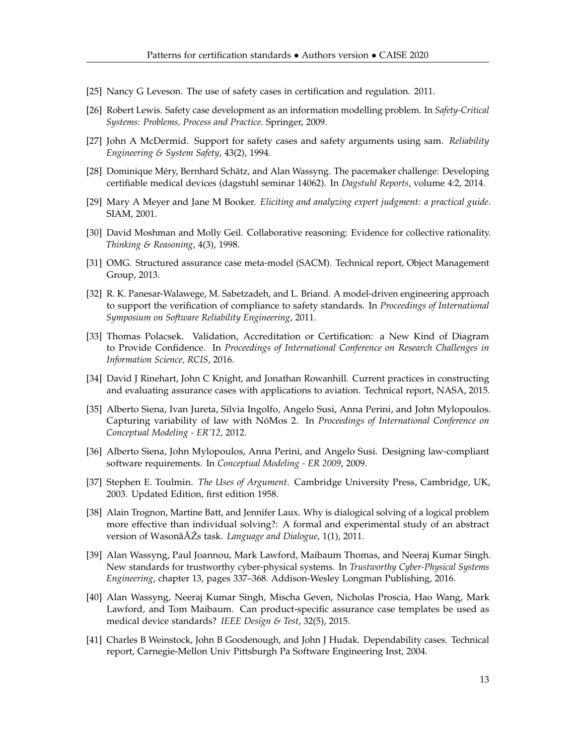- <span id="page-12-11"></span>[25] Nancy G Leveson. The use of safety cases in certification and regulation. 2011.
- <span id="page-12-13"></span>[26] Robert Lewis. Safety case development as an information modelling problem. In *Safety-Critical Systems: Problems, Process and Practice*. Springer, 2009.
- <span id="page-12-1"></span>[27] John A McDermid. Support for safety cases and safety arguments using sam. *Reliability Engineering & System Safety*, 43(2), 1994.
- <span id="page-12-3"></span>[28] Dominique Méry, Bernhard Schätz, and Alan Wassyng. The pacemaker challenge: Developing certifiable medical devices (dagstuhl seminar 14062). In *Dagstuhl Reports*, volume 4:2, 2014.
- <span id="page-12-12"></span>[29] Mary A Meyer and Jane M Booker. *Eliciting and analyzing expert judgment: a practical guide*. SIAM, 2001.
- <span id="page-12-10"></span>[30] David Moshman and Molly Geil. Collaborative reasoning: Evidence for collective rationality. *Thinking & Reasoning*, 4(3), 1998.
- <span id="page-12-6"></span>[31] OMG. Structured assurance case meta-model (SACM). Technical report, Object Management Group, 2013.
- <span id="page-12-14"></span>[32] R. K. Panesar-Walawege, M. Sabetzadeh, and L. Briand. A model-driven engineering approach to support the verification of compliance to safety standards. In *Proceedings of International Symposium on Software Reliability Engineering*, 2011.
- <span id="page-12-4"></span>[33] Thomas Polacsek. Validation, Accreditation or Certification: a New Kind of Diagram to Provide Confidence. In *Proceedings of International Conference on Research Challenges in Information Science, RCIS*, 2016.
- <span id="page-12-0"></span>[34] David J Rinehart, John C Knight, and Jonathan Rowanhill. Current practices in constructing and evaluating assurance cases with applications to aviation. Technical report, NASA, 2015.
- <span id="page-12-16"></span>[35] Alberto Siena, Ivan Jureta, Silvia Ingolfo, Angelo Susi, Anna Perini, and John Mylopoulos. Capturing variability of law with NóMos 2. In *Proceedings of International Conference on Conceptual Modeling - ER'12*, 2012.
- <span id="page-12-15"></span>[36] Alberto Siena, John Mylopoulos, Anna Perini, and Angelo Susi. Designing law-compliant software requirements. In *Conceptual Modeling - ER 2009*, 2009.
- <span id="page-12-7"></span>[37] Stephen E. Toulmin. *The Uses of Argument*. Cambridge University Press, Cambridge, UK, 2003. Updated Edition, first edition 1958.
- <span id="page-12-9"></span>[38] Alain Trognon, Martine Batt, and Jennifer Laux. Why is dialogical solving of a logical problem more effective than individual solving?: A formal and experimental study of an abstract version of Wasonâ $\check{A}Zs$  task. *Language and Dialogue*, 1(1), 2011.
- <span id="page-12-2"></span>[39] Alan Wassyng, Paul Joannou, Mark Lawford, Maibaum Thomas, and Neeraj Kumar Singh. New standards for trustworthy cyber-physical systems. In *Trustworthy Cyber-Physical Systems Engineering*, chapter 13, pages 337–368. Addison-Wesley Longman Publishing, 2016.
- <span id="page-12-8"></span>[40] Alan Wassyng, Neeraj Kumar Singh, Mischa Geven, Nicholas Proscia, Hao Wang, Mark Lawford, and Tom Maibaum. Can product-specific assurance case templates be used as medical device standards? *IEEE Design & Test*, 32(5), 2015.
- <span id="page-12-5"></span>[41] Charles B Weinstock, John B Goodenough, and John J Hudak. Dependability cases. Technical report, Carnegie-Mellon Univ Pittsburgh Pa Software Engineering Inst, 2004.